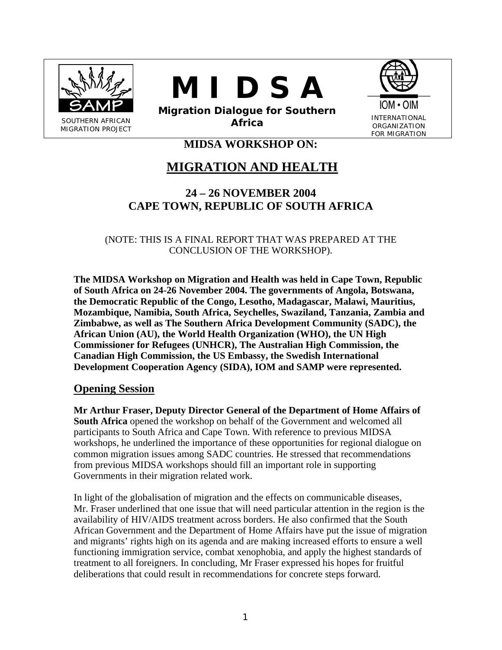





**Migration Dialogue for Southern Africa INTERNATIONAL**<br> **Africa Internation** 

FOR MIGRATION

# **MIDSA WORKSHOP ON:**

# **MIGRATION AND HEALTH**

# **24 – 26 NOVEMBER 2004 CAPE TOWN, REPUBLIC OF SOUTH AFRICA**

(NOTE: THIS IS A FINAL REPORT THAT WAS PREPARED AT THE CONCLUSION OF THE WORKSHOP).

**The MIDSA Workshop on Migration and Health was held in Cape Town, Republic of South Africa on 24-26 November 2004. The governments of Angola, Botswana, the Democratic Republic of the Congo, Lesotho, Madagascar, Malawi, Mauritius, Mozambique, Namibia, South Africa, Seychelles, Swaziland, Tanzania, Zambia and Zimbabwe, as well as The Southern Africa Development Community (SADC), the African Union (AU), the World Health Organization (WHO), the UN High Commissioner for Refugees (UNHCR), The Australian High Commission, the Canadian High Commission, the US Embassy, the Swedish International Development Cooperation Agency (SIDA), IOM and SAMP were represented.** 

# **Opening Session**

**Mr Arthur Fraser, Deputy Director General of the Department of Home Affairs of South Africa** opened the workshop on behalf of the Government and welcomed all participants to South Africa and Cape Town. With reference to previous MIDSA workshops, he underlined the importance of these opportunities for regional dialogue on common migration issues among SADC countries. He stressed that recommendations from previous MIDSA workshops should fill an important role in supporting Governments in their migration related work.

In light of the globalisation of migration and the effects on communicable diseases, Mr. Fraser underlined that one issue that will need particular attention in the region is the availability of HIV/AIDS treatment across borders. He also confirmed that the South African Government and the Department of Home Affairs have put the issue of migration and migrants' rights high on its agenda and are making increased efforts to ensure a well functioning immigration service, combat xenophobia, and apply the highest standards of treatment to all foreigners. In concluding, Mr Fraser expressed his hopes for fruitful deliberations that could result in recommendations for concrete steps forward.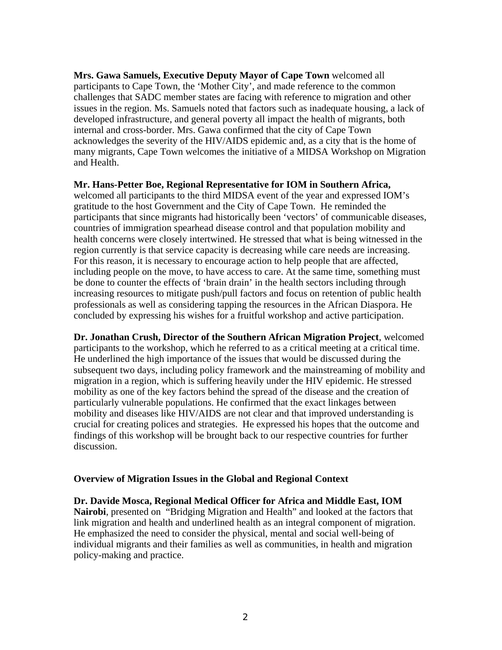**Mrs. Gawa Samuels, Executive Deputy Mayor of Cape Town** welcomed all participants to Cape Town, the 'Mother City', and made reference to the common challenges that SADC member states are facing with reference to migration and other issues in the region. Ms. Samuels noted that factors such as inadequate housing, a lack of developed infrastructure, and general poverty all impact the health of migrants, both internal and cross-border. Mrs. Gawa confirmed that the city of Cape Town acknowledges the severity of the HIV/AIDS epidemic and, as a city that is the home of many migrants, Cape Town welcomes the initiative of a MIDSA Workshop on Migration and Health.

#### **Mr. Hans-Petter Boe, Regional Representative for IOM in Southern Africa,**

welcomed all participants to the third MIDSA event of the year and expressed IOM's gratitude to the host Government and the City of Cape Town. He reminded the participants that since migrants had historically been 'vectors' of communicable diseases, countries of immigration spearhead disease control and that population mobility and health concerns were closely intertwined. He stressed that what is being witnessed in the region currently is that service capacity is decreasing while care needs are increasing. For this reason, it is necessary to encourage action to help people that are affected, including people on the move, to have access to care. At the same time, something must be done to counter the effects of 'brain drain' in the health sectors including through increasing resources to mitigate push/pull factors and focus on retention of public health professionals as well as considering tapping the resources in the African Diaspora. He concluded by expressing his wishes for a fruitful workshop and active participation.

**Dr. Jonathan Crush, Director of the Southern African Migration Project**, welcomed participants to the workshop, which he referred to as a critical meeting at a critical time. He underlined the high importance of the issues that would be discussed during the subsequent two days, including policy framework and the mainstreaming of mobility and migration in a region, which is suffering heavily under the HIV epidemic. He stressed mobility as one of the key factors behind the spread of the disease and the creation of particularly vulnerable populations. He confirmed that the exact linkages between mobility and diseases like HIV/AIDS are not clear and that improved understanding is crucial for creating polices and strategies. He expressed his hopes that the outcome and findings of this workshop will be brought back to our respective countries for further discussion.

## **Overview of Migration Issues in the Global and Regional Context**

**Dr. Davide Mosca, Regional Medical Officer for Africa and Middle East, IOM Nairobi**, presented on "Bridging Migration and Health" and looked at the factors that link migration and health and underlined health as an integral component of migration. He emphasized the need to consider the physical, mental and social well-being of individual migrants and their families as well as communities, in health and migration policy-making and practice.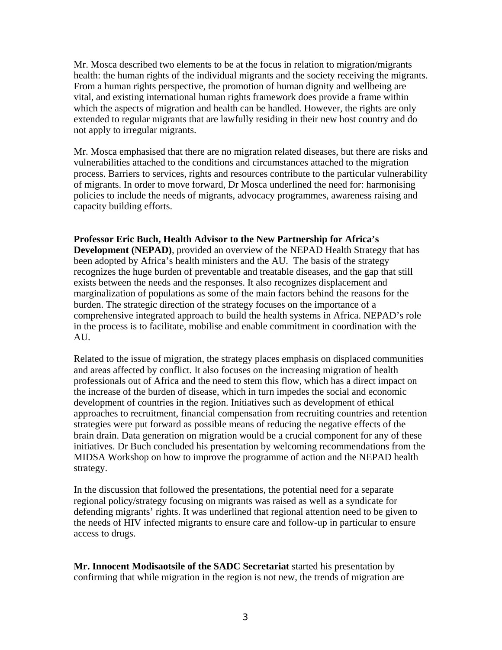Mr. Mosca described two elements to be at the focus in relation to migration/migrants health: the human rights of the individual migrants and the society receiving the migrants. From a human rights perspective, the promotion of human dignity and wellbeing are vital, and existing international human rights framework does provide a frame within which the aspects of migration and health can be handled. However, the rights are only extended to regular migrants that are lawfully residing in their new host country and do not apply to irregular migrants.

Mr. Mosca emphasised that there are no migration related diseases, but there are risks and vulnerabilities attached to the conditions and circumstances attached to the migration process. Barriers to services, rights and resources contribute to the particular vulnerability of migrants. In order to move forward, Dr Mosca underlined the need for: harmonising policies to include the needs of migrants, advocacy programmes, awareness raising and capacity building efforts.

**Professor Eric Buch, Health Advisor to the New Partnership for Africa's Development (NEPAD)**, provided an overview of the NEPAD Health Strategy that has been adopted by Africa's health ministers and the AU. The basis of the strategy recognizes the huge burden of preventable and treatable diseases, and the gap that still exists between the needs and the responses. It also recognizes displacement and marginalization of populations as some of the main factors behind the reasons for the burden. The strategic direction of the strategy focuses on the importance of a comprehensive integrated approach to build the health systems in Africa. NEPAD's role in the process is to facilitate, mobilise and enable commitment in coordination with the AU.

Related to the issue of migration, the strategy places emphasis on displaced communities and areas affected by conflict. It also focuses on the increasing migration of health professionals out of Africa and the need to stem this flow, which has a direct impact on the increase of the burden of disease, which in turn impedes the social and economic development of countries in the region. Initiatives such as development of ethical approaches to recruitment, financial compensation from recruiting countries and retention strategies were put forward as possible means of reducing the negative effects of the brain drain. Data generation on migration would be a crucial component for any of these initiatives. Dr Buch concluded his presentation by welcoming recommendations from the MIDSA Workshop on how to improve the programme of action and the NEPAD health strategy.

In the discussion that followed the presentations, the potential need for a separate regional policy/strategy focusing on migrants was raised as well as a syndicate for defending migrants' rights. It was underlined that regional attention need to be given to the needs of HIV infected migrants to ensure care and follow-up in particular to ensure access to drugs.

**Mr. Innocent Modisaotsile of the SADC Secretariat** started his presentation by confirming that while migration in the region is not new, the trends of migration are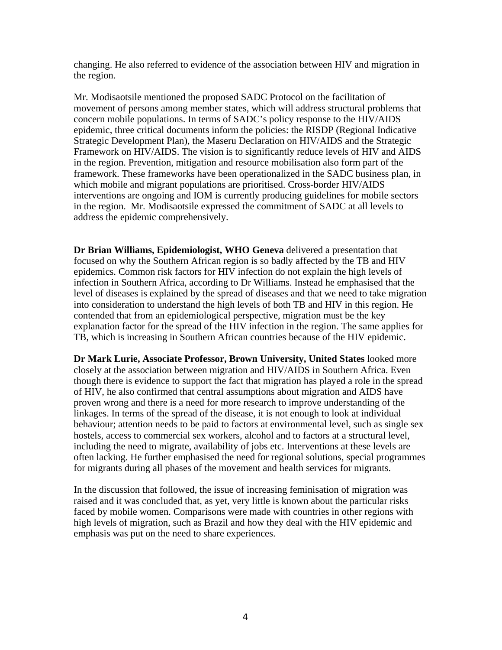changing. He also referred to evidence of the association between HIV and migration in the region.

Mr. Modisaotsile mentioned the proposed SADC Protocol on the facilitation of movement of persons among member states, which will address structural problems that concern mobile populations. In terms of SADC's policy response to the HIV/AIDS epidemic, three critical documents inform the policies: the RISDP (Regional Indicative Strategic Development Plan), the Maseru Declaration on HIV/AIDS and the Strategic Framework on HIV/AIDS. The vision is to significantly reduce levels of HIV and AIDS in the region. Prevention, mitigation and resource mobilisation also form part of the framework. These frameworks have been operationalized in the SADC business plan, in which mobile and migrant populations are prioritised. Cross-border HIV/AIDS interventions are ongoing and IOM is currently producing guidelines for mobile sectors in the region. Mr. Modisaotsile expressed the commitment of SADC at all levels to address the epidemic comprehensively.

**Dr Brian Williams, Epidemiologist, WHO Geneva** delivered a presentation that focused on why the Southern African region is so badly affected by the TB and HIV epidemics. Common risk factors for HIV infection do not explain the high levels of infection in Southern Africa, according to Dr Williams. Instead he emphasised that the level of diseases is explained by the spread of diseases and that we need to take migration into consideration to understand the high levels of both TB and HIV in this region. He contended that from an epidemiological perspective, migration must be the key explanation factor for the spread of the HIV infection in the region. The same applies for TB, which is increasing in Southern African countries because of the HIV epidemic.

**Dr Mark Lurie, Associate Professor, Brown University, United States** looked more closely at the association between migration and HIV/AIDS in Southern Africa. Even though there is evidence to support the fact that migration has played a role in the spread of HIV, he also confirmed that central assumptions about migration and AIDS have proven wrong and there is a need for more research to improve understanding of the linkages. In terms of the spread of the disease, it is not enough to look at individual behaviour; attention needs to be paid to factors at environmental level, such as single sex hostels, access to commercial sex workers, alcohol and to factors at a structural level, including the need to migrate, availability of jobs etc. Interventions at these levels are often lacking. He further emphasised the need for regional solutions, special programmes for migrants during all phases of the movement and health services for migrants.

In the discussion that followed, the issue of increasing feminisation of migration was raised and it was concluded that, as yet, very little is known about the particular risks faced by mobile women. Comparisons were made with countries in other regions with high levels of migration, such as Brazil and how they deal with the HIV epidemic and emphasis was put on the need to share experiences.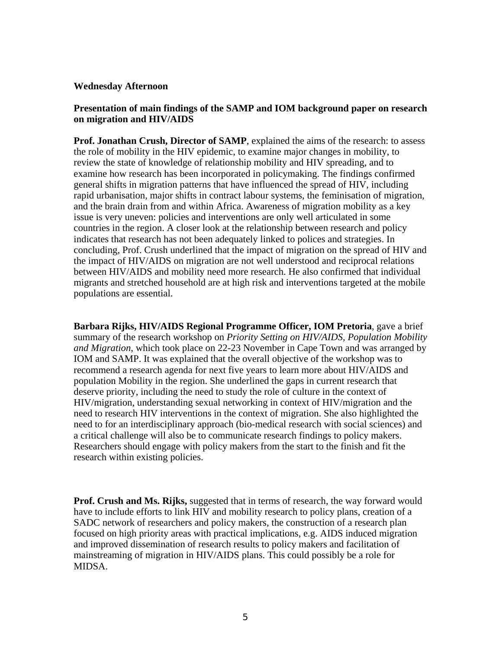#### **Wednesday Afternoon**

## **Presentation of main findings of the SAMP and IOM background paper on research on migration and HIV/AIDS**

**Prof. Jonathan Crush, Director of SAMP**, explained the aims of the research: to assess the role of mobility in the HIV epidemic, to examine major changes in mobility, to review the state of knowledge of relationship mobility and HIV spreading, and to examine how research has been incorporated in policymaking. The findings confirmed general shifts in migration patterns that have influenced the spread of HIV, including rapid urbanisation, major shifts in contract labour systems, the feminisation of migration, and the brain drain from and within Africa. Awareness of migration mobility as a key issue is very uneven: policies and interventions are only well articulated in some countries in the region. A closer look at the relationship between research and policy indicates that research has not been adequately linked to polices and strategies. In concluding, Prof. Crush underlined that the impact of migration on the spread of HIV and the impact of HIV/AIDS on migration are not well understood and reciprocal relations between HIV/AIDS and mobility need more research. He also confirmed that individual migrants and stretched household are at high risk and interventions targeted at the mobile populations are essential.

**Barbara Rijks, HIV/AIDS Regional Programme Officer, IOM Pretoria**, gave a brief summary of the research workshop on *Priority Setting on HIV/AIDS, Population Mobility and Migration*, which took place on 22-23 November in Cape Town and was arranged by IOM and SAMP. It was explained that the overall objective of the workshop was to recommend a research agenda for next five years to learn more about HIV/AIDS and population Mobility in the region. She underlined the gaps in current research that deserve priority, including the need to study the role of culture in the context of HIV/migration, understanding sexual networking in context of HIV/migration and the need to research HIV interventions in the context of migration. She also highlighted the need to for an interdisciplinary approach (bio-medical research with social sciences) and a critical challenge will also be to communicate research findings to policy makers. Researchers should engage with policy makers from the start to the finish and fit the research within existing policies.

**Prof. Crush and Ms. Rijks,** suggested that in terms of research, the way forward would have to include efforts to link HIV and mobility research to policy plans, creation of a SADC network of researchers and policy makers, the construction of a research plan focused on high priority areas with practical implications, e.g. AIDS induced migration and improved dissemination of research results to policy makers and facilitation of mainstreaming of migration in HIV/AIDS plans. This could possibly be a role for MIDSA.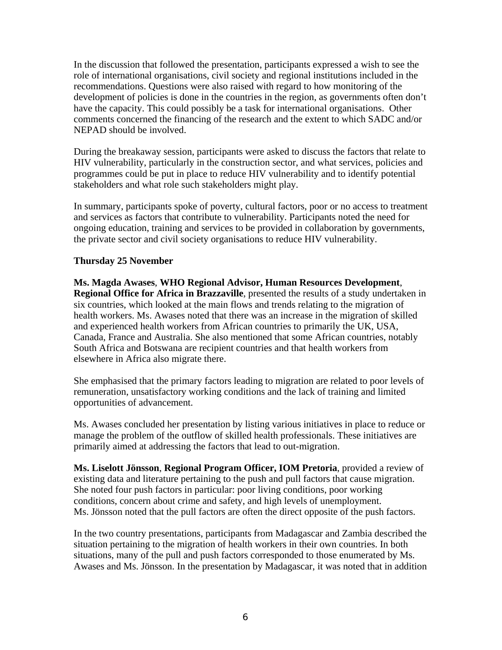In the discussion that followed the presentation, participants expressed a wish to see the role of international organisations, civil society and regional institutions included in the recommendations. Questions were also raised with regard to how monitoring of the development of policies is done in the countries in the region, as governments often don't have the capacity. This could possibly be a task for international organisations. Other comments concerned the financing of the research and the extent to which SADC and/or NEPAD should be involved.

During the breakaway session, participants were asked to discuss the factors that relate to HIV vulnerability, particularly in the construction sector, and what services, policies and programmes could be put in place to reduce HIV vulnerability and to identify potential stakeholders and what role such stakeholders might play.

In summary, participants spoke of poverty, cultural factors, poor or no access to treatment and services as factors that contribute to vulnerability. Participants noted the need for ongoing education, training and services to be provided in collaboration by governments, the private sector and civil society organisations to reduce HIV vulnerability.

## **Thursday 25 November**

**Ms. Magda Awases**, **WHO Regional Advisor, Human Resources Development**, **Regional Office for Africa in Brazzaville**, presented the results of a study undertaken in six countries, which looked at the main flows and trends relating to the migration of health workers. Ms. Awases noted that there was an increase in the migration of skilled and experienced health workers from African countries to primarily the UK, USA, Canada, France and Australia. She also mentioned that some African countries, notably South Africa and Botswana are recipient countries and that health workers from elsewhere in Africa also migrate there.

She emphasised that the primary factors leading to migration are related to poor levels of remuneration, unsatisfactory working conditions and the lack of training and limited opportunities of advancement.

Ms. Awases concluded her presentation by listing various initiatives in place to reduce or manage the problem of the outflow of skilled health professionals. These initiatives are primarily aimed at addressing the factors that lead to out-migration.

**Ms. Liselott Jönsson**, **Regional Program Officer, IOM Pretoria**, provided a review of existing data and literature pertaining to the push and pull factors that cause migration. She noted four push factors in particular: poor living conditions, poor working conditions, concern about crime and safety, and high levels of unemployment. Ms. Jönsson noted that the pull factors are often the direct opposite of the push factors.

In the two country presentations, participants from Madagascar and Zambia described the situation pertaining to the migration of health workers in their own countries. In both situations, many of the pull and push factors corresponded to those enumerated by Ms. Awases and Ms. Jönsson. In the presentation by Madagascar, it was noted that in addition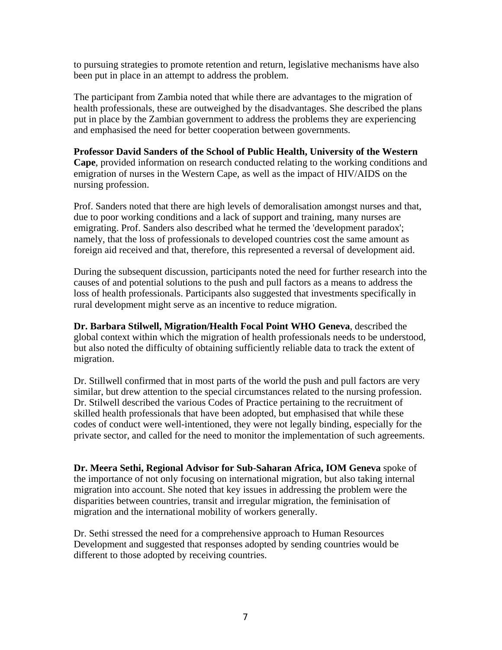to pursuing strategies to promote retention and return, legislative mechanisms have also been put in place in an attempt to address the problem.

The participant from Zambia noted that while there are advantages to the migration of health professionals, these are outweighed by the disadvantages. She described the plans put in place by the Zambian government to address the problems they are experiencing and emphasised the need for better cooperation between governments.

## **Professor David Sanders of the School of Public Health, University of the Western**

**Cape**, provided information on research conducted relating to the working conditions and emigration of nurses in the Western Cape, as well as the impact of HIV/AIDS on the nursing profession.

Prof. Sanders noted that there are high levels of demoralisation amongst nurses and that, due to poor working conditions and a lack of support and training, many nurses are emigrating. Prof. Sanders also described what he termed the 'development paradox'; namely, that the loss of professionals to developed countries cost the same amount as foreign aid received and that, therefore, this represented a reversal of development aid.

During the subsequent discussion, participants noted the need for further research into the causes of and potential solutions to the push and pull factors as a means to address the loss of health professionals. Participants also suggested that investments specifically in rural development might serve as an incentive to reduce migration.

**Dr. Barbara Stilwell, Migration/Health Focal Point WHO Geneva**, described the global context within which the migration of health professionals needs to be understood, but also noted the difficulty of obtaining sufficiently reliable data to track the extent of migration.

Dr. Stillwell confirmed that in most parts of the world the push and pull factors are very similar, but drew attention to the special circumstances related to the nursing profession. Dr. Stilwell described the various Codes of Practice pertaining to the recruitment of skilled health professionals that have been adopted, but emphasised that while these codes of conduct were well-intentioned, they were not legally binding, especially for the private sector, and called for the need to monitor the implementation of such agreements.

**Dr. Meera Sethi, Regional Advisor for Sub-Saharan Africa, IOM Geneva** spoke of the importance of not only focusing on international migration, but also taking internal migration into account. She noted that key issues in addressing the problem were the disparities between countries, transit and irregular migration, the feminisation of migration and the international mobility of workers generally.

Dr. Sethi stressed the need for a comprehensive approach to Human Resources Development and suggested that responses adopted by sending countries would be different to those adopted by receiving countries.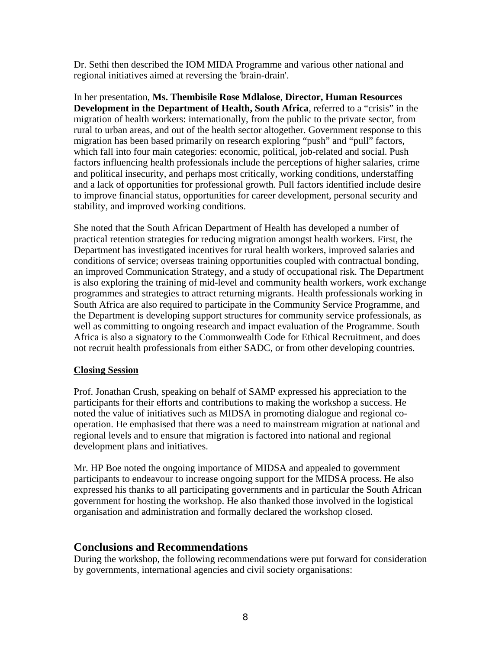Dr. Sethi then described the IOM MIDA Programme and various other national and regional initiatives aimed at reversing the 'brain-drain'.

In her presentation, **Ms. Thembisile Rose Mdlalose**, **Director, Human Resources Development in the Department of Health, South Africa**, referred to a "crisis" in the migration of health workers: internationally, from the public to the private sector, from rural to urban areas, and out of the health sector altogether. Government response to this migration has been based primarily on research exploring "push" and "pull" factors, which fall into four main categories: economic, political, job-related and social. Push factors influencing health professionals include the perceptions of higher salaries, crime and political insecurity, and perhaps most critically, working conditions, understaffing and a lack of opportunities for professional growth. Pull factors identified include desire to improve financial status, opportunities for career development, personal security and stability, and improved working conditions.

She noted that the South African Department of Health has developed a number of practical retention strategies for reducing migration amongst health workers. First, the Department has investigated incentives for rural health workers, improved salaries and conditions of service; overseas training opportunities coupled with contractual bonding, an improved Communication Strategy, and a study of occupational risk. The Department is also exploring the training of mid-level and community health workers, work exchange programmes and strategies to attract returning migrants. Health professionals working in South Africa are also required to participate in the Community Service Programme, and the Department is developing support structures for community service professionals, as well as committing to ongoing research and impact evaluation of the Programme. South Africa is also a signatory to the Commonwealth Code for Ethical Recruitment, and does not recruit health professionals from either SADC, or from other developing countries.

## **Closing Session**

Prof. Jonathan Crush, speaking on behalf of SAMP expressed his appreciation to the participants for their efforts and contributions to making the workshop a success. He noted the value of initiatives such as MIDSA in promoting dialogue and regional cooperation. He emphasised that there was a need to mainstream migration at national and regional levels and to ensure that migration is factored into national and regional development plans and initiatives.

Mr. HP Boe noted the ongoing importance of MIDSA and appealed to government participants to endeavour to increase ongoing support for the MIDSA process. He also expressed his thanks to all participating governments and in particular the South African government for hosting the workshop. He also thanked those involved in the logistical organisation and administration and formally declared the workshop closed.

# **Conclusions and Recommendations**

During the workshop, the following recommendations were put forward for consideration by governments, international agencies and civil society organisations: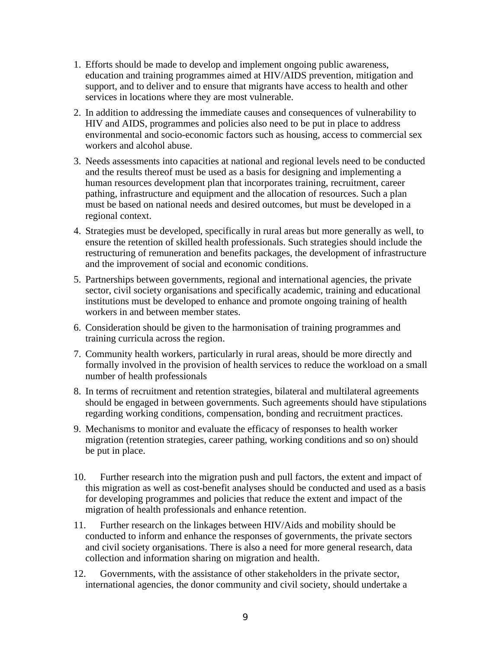- 1. Efforts should be made to develop and implement ongoing public awareness, education and training programmes aimed at HIV/AIDS prevention, mitigation and support, and to deliver and to ensure that migrants have access to health and other services in locations where they are most vulnerable.
- 2. In addition to addressing the immediate causes and consequences of vulnerability to HIV and AIDS, programmes and policies also need to be put in place to address environmental and socio-economic factors such as housing, access to commercial sex workers and alcohol abuse.
- 3. Needs assessments into capacities at national and regional levels need to be conducted and the results thereof must be used as a basis for designing and implementing a human resources development plan that incorporates training, recruitment, career pathing, infrastructure and equipment and the allocation of resources. Such a plan must be based on national needs and desired outcomes, but must be developed in a regional context.
- 4. Strategies must be developed, specifically in rural areas but more generally as well, to ensure the retention of skilled health professionals. Such strategies should include the restructuring of remuneration and benefits packages, the development of infrastructure and the improvement of social and economic conditions.
- 5. Partnerships between governments, regional and international agencies, the private sector, civil society organisations and specifically academic, training and educational institutions must be developed to enhance and promote ongoing training of health workers in and between member states.
- 6. Consideration should be given to the harmonisation of training programmes and training curricula across the region.
- 7. Community health workers, particularly in rural areas, should be more directly and formally involved in the provision of health services to reduce the workload on a small number of health professionals
- 8. In terms of recruitment and retention strategies, bilateral and multilateral agreements should be engaged in between governments. Such agreements should have stipulations regarding working conditions, compensation, bonding and recruitment practices.
- 9. Mechanisms to monitor and evaluate the efficacy of responses to health worker migration (retention strategies, career pathing, working conditions and so on) should be put in place.
- 10. Further research into the migration push and pull factors, the extent and impact of this migration as well as cost-benefit analyses should be conducted and used as a basis for developing programmes and policies that reduce the extent and impact of the migration of health professionals and enhance retention.
- 11. Further research on the linkages between HIV/Aids and mobility should be conducted to inform and enhance the responses of governments, the private sectors and civil society organisations. There is also a need for more general research, data collection and information sharing on migration and health.
- 12. Governments, with the assistance of other stakeholders in the private sector, international agencies, the donor community and civil society, should undertake a